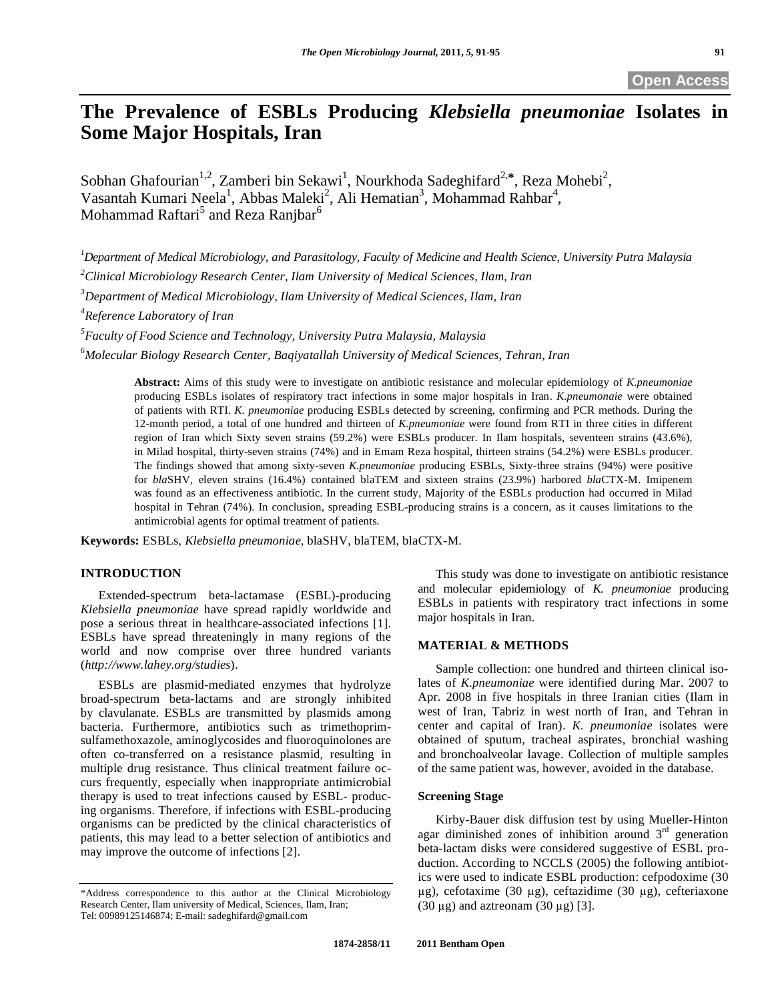# **The Prevalence of ESBLs Producing** *Klebsiella pneumoniae* **Isolates in Some Major Hospitals, Iran**

Sobhan Ghafourian<sup>1,2</sup>, Zamberi bin Sekawi<sup>1</sup>, Nourkhoda Sadeghifard<sup>2,\*</sup>, Reza Mohebi<sup>2</sup>, Vasantah Kumari Neela<sup>1</sup>, Abbas Maleki<sup>2</sup>, Ali Hematian<sup>3</sup>, Mohammad Rahbar<sup>4</sup>, Mohammad Raftari $^5$  and Reza Ranjbar $^6$ 

*1 Department of Medical Microbiology, and Parasitology, Faculty of Medicine and Health Science, University Putra Malaysia 2 Clinical Microbiology Research Center, Ilam University of Medical Sciences, Ilam, Iran 3 Department of Medical Microbiology, Ilam University of Medical Sciences, Ilam, Iran* 

*4 Reference Laboratory of Iran* 

*5 Faculty of Food Science and Technology, University Putra Malaysia, Malaysia* 

*6 Molecular Biology Research Center, Baqiyatallah University of Medical Sciences, Tehran, Iran* 

**Abstract:** Aims of this study were to investigate on antibiotic resistance and molecular epidemiology of *K.pneumoniae* producing ESBLs isolates of respiratory tract infections in some major hospitals in Iran. *K.pneumonaie* were obtained of patients with RTI. *K. pneumoniae* producing ESBLs detected by screening, confirming and PCR methods. During the 12-month period, a total of one hundred and thirteen of *K.pneumoniae* were found from RTI in three cities in different region of Iran which Sixty seven strains (59.2%) were ESBLs producer. In Ilam hospitals, seventeen strains (43.6%), in Milad hospital, thirty-seven strains (74%) and in Emam Reza hospital, thirteen strains (54.2%) were ESBLs producer. The findings showed that among sixty-seven *K.pneumoniae* producing ESBLs, Sixty-three strains (94%) were positive for *bla*SHV, eleven strains (16.4%) contained blaTEM and sixteen strains (23.9%) harbored *bla*CTX-M. Imipenem was found as an effectiveness antibiotic. In the current study, Majority of the ESBLs production had occurred in Milad hospital in Tehran (74%). In conclusion, spreading ESBL-producing strains is a concern, as it causes limitations to the antimicrobial agents for optimal treatment of patients.

**Keywords:** ESBLs, *Klebsiella pneumoniae*, blaSHV, blaTEM, blaCTX-M.

# **INTRODUCTION**

 Extended-spectrum beta-lactamase (ESBL)-producing *Klebsiella pneumoniae* have spread rapidly worldwide and pose a serious threat in healthcare-associated infections [1]. ESBLs have spread threateningly in many regions of the world and now comprise over three hundred variants (*http://www.lahey.org/studies*).

 ESBLs are plasmid-mediated enzymes that hydrolyze broad-spectrum beta-lactams and are strongly inhibited by clavulanate. ESBLs are transmitted by plasmids among bacteria. Furthermore, antibiotics such as trimethoprimsulfamethoxazole, aminoglycosides and fluoroquinolones are often co-transferred on a resistance plasmid, resulting in multiple drug resistance. Thus clinical treatment failure occurs frequently, especially when inappropriate antimicrobial therapy is used to treat infections caused by ESBL- producing organisms. Therefore, if infections with ESBL-producing organisms can be predicted by the clinical characteristics of patients, this may lead to a better selection of antibiotics and may improve the outcome of infections [2].

 This study was done to investigate on antibiotic resistance and molecular epidemiology of *K. pneumoniae* producing ESBLs in patients with respiratory tract infections in some major hospitals in Iran.

# **MATERIAL & METHODS**

 Sample collection: one hundred and thirteen clinical isolates of *K.pneumoniae* were identified during Mar. 2007 to Apr. 2008 in five hospitals in three Iranian cities (Ilam in west of Iran, Tabriz in west north of Iran, and Tehran in center and capital of Iran). *K. pneumoniae* isolates were obtained of sputum, tracheal aspirates, bronchial washing and bronchoalveolar lavage. Collection of multiple samples of the same patient was, however, avoided in the database.

# **Screening Stage**

 Kirby-Bauer disk diffusion test by using Mueller-Hinton agar diminished zones of inhibition around  $3<sup>rd</sup>$  generation beta-lactam disks were considered suggestive of ESBL production. According to NCCLS (2005) the following antibiotics were used to indicate ESBL production: cefpodoxime (30  $\mu$ g), cefotaxime (30  $\mu$ g), ceftazidime (30  $\mu$ g), cefteriaxone  $(30 \mu g)$  and aztreonam  $(30 \mu g)$  [3].

<sup>\*</sup>Address correspondence to this author at the Clinical Microbiology Research Center, Ilam university of Medical, Sciences, Ilam, Iran; Tel: 00989125146874; E-mail: sadeghifard@gmail.com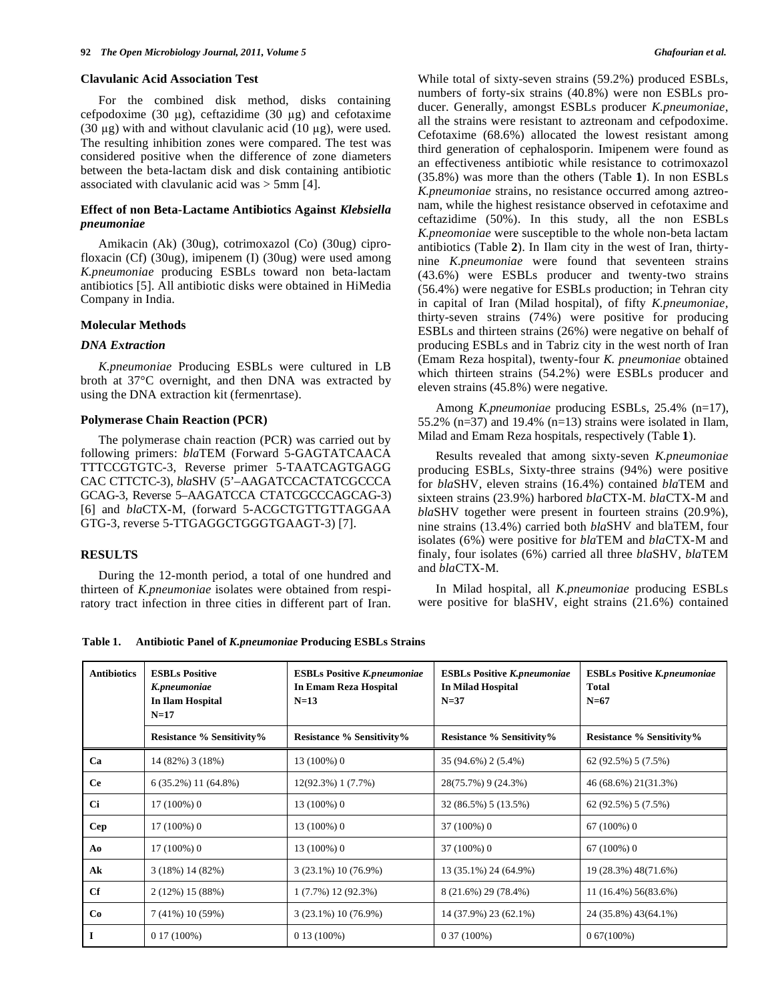#### **Clavulanic Acid Association Test**

 For the combined disk method, disks containing cefpodoxime (30  $\mu$ g), ceftazidime (30  $\mu$ g) and cefotaxime (30  $\mu$ g) with and without clavulanic acid (10  $\mu$ g), were used. The resulting inhibition zones were compared. The test was considered positive when the difference of zone diameters between the beta-lactam disk and disk containing antibiotic associated with clavulanic acid was > 5mm [4].

# **Effect of non Beta-Lactame Antibiotics Against** *Klebsiella pneumoniae*

 Amikacin (Ak) (30ug), cotrimoxazol (Co) (30ug) ciprofloxacin (Cf) (30ug), imipenem (I) (30ug) were used among *K.pneumoniae* producing ESBLs toward non beta-lactam antibiotics [5]. All antibiotic disks were obtained in HiMedia Company in India.

# **Molecular Methods**

#### *DNA Extraction*

 *K.pneumoniae* Producing ESBLs were cultured in LB broth at 37°C overnight, and then DNA was extracted by using the DNA extraction kit (fermenrtase).

#### **Polymerase Chain Reaction (PCR)**

 The polymerase chain reaction (PCR) was carried out by following primers: *bla*TEM (Forward 5-GAGTATCAACA TTTCCGTGTC-3, Reverse primer 5-TAATCAGTGAGG CAC CTTCTC-3), *bla*SHV (5'–AAGATCCACTATCGCCCA GCAG-3, Reverse 5–AAGATCCA CTATCGCCCAGCAG-3) [6] and *bla*CTX-M, (forward 5-ACGCTGTTGTTAGGAA GTG-3, reverse 5-TTGAGGCTGGGTGAAGT-3) [7].

### **RESULTS**

 During the 12-month period, a total of one hundred and thirteen of *K.pneumoniae* isolates were obtained from respiratory tract infection in three cities in different part of Iran. While total of sixty-seven strains (59.2%) produced ESBLs, numbers of forty-six strains (40.8%) were non ESBLs producer. Generally, amongst ESBLs producer *K.pneumoniae*, all the strains were resistant to aztreonam and cefpodoxime. Cefotaxime (68.6%) allocated the lowest resistant among third generation of cephalosporin. Imipenem were found as an effectiveness antibiotic while resistance to cotrimoxazol (35.8%) was more than the others (Table **1**). In non ESBLs *K.pneumoniae* strains, no resistance occurred among aztreonam, while the highest resistance observed in cefotaxime and ceftazidime (50%). In this study, all the non ESBLs *K.pneomoniae* were susceptible to the whole non-beta lactam antibiotics (Table **2**). In Ilam city in the west of Iran, thirtynine *K.pneumoniae* were found that seventeen strains (43.6%) were ESBLs producer and twenty-two strains (56.4%) were negative for ESBLs production; in Tehran city in capital of Iran (Milad hospital), of fifty *K.pneumoniae,* thirty-seven strains (74%) were positive for producing ESBLs and thirteen strains (26%) were negative on behalf of producing ESBLs and in Tabriz city in the west north of Iran (Emam Reza hospital), twenty-four *K. pneumoniae* obtained which thirteen strains (54.2%) were ESBLs producer and eleven strains (45.8%) were negative.

 Among *K.pneumoniae* producing ESBLs, 25.4% (n=17), 55.2% ( $n=37$ ) and 19.4% ( $n=13$ ) strains were isolated in Ilam, Milad and Emam Reza hospitals, respectively (Table **1**).

 Results revealed that among sixty-seven *K.pneumoniae* producing ESBLs, Sixty-three strains (94%) were positive for *bla*SHV, eleven strains (16.4%) contained *bla*TEM and sixteen strains (23.9%) harbored *bla*CTX-M. *bla*CTX-M and *bla*SHV together were present in fourteen strains (20.9%), nine strains (13.4%) carried both *bla*SHV and blaTEM, four isolates (6%) were positive for *bla*TEM and *bla*CTX-M and finaly, four isolates (6%) carried all three *bla*SHV, *bla*TEM and *bla*CTX-M.

 In Milad hospital, all *K.pneumoniae* producing ESBLs were positive for blaSHV, eight strains (21.6%) contained

**Table 1. Antibiotic Panel of** *K.pneumoniae* **Producing ESBLs Strains** 

| <b>Antibiotics</b> | <b>ESBLs Positive</b><br>K.pneumoniae<br>In Ilam Hospital<br>$N=17$ | <b>ESBLs Positive K.pneumoniae</b><br><b>In Emam Reza Hospital</b><br>$N=13$ | <b>ESBLs Positive K.pneumoniae</b><br><b>In Milad Hospital</b><br>$N=37$ | <b>ESBLs Positive K.pneumoniae</b><br><b>Total</b><br>$N=67$ |
|--------------------|---------------------------------------------------------------------|------------------------------------------------------------------------------|--------------------------------------------------------------------------|--------------------------------------------------------------|
|                    | <b>Resistance % Sensitivity%</b>                                    | <b>Resistance % Sensitivity%</b>                                             | <b>Resistance % Sensitivity%</b>                                         | <b>Resistance % Sensitivity%</b>                             |
| Ca                 | 14 (82%) 3 (18%)                                                    | 13 (100%) 0                                                                  | 35 (94.6%) 2 (5.4%)                                                      | 62 (92.5%) 5 (7.5%)                                          |
| <b>Ce</b>          | $6(35.2\%)$ 11 $(64.8\%)$                                           | 12(92.3%) 1 (7.7%)                                                           | 28(75.7%) 9 (24.3%)                                                      | 46 (68.6%) 21(31.3%)                                         |
| <b>Ci</b>          | $17(100\%)0$                                                        | 13 (100%) 0                                                                  | 32 (86.5%) 5 (13.5%)                                                     | 62 (92.5%) 5 (7.5%)                                          |
| Cep                | $17(100\%)$ 0                                                       | 13 (100%) 0                                                                  | 37 (100%) 0                                                              | $67(100\%)0$                                                 |
| Ao                 | $17(100\%)0$                                                        | 13 (100%) 0                                                                  | 37 (100%) 0                                                              | $67(100\%)0$                                                 |
| Ak                 | $3(18\%) 14(82\%)$                                                  | 3 (23.1%) 10 (76.9%)                                                         | 13 (35.1%) 24 (64.9%)                                                    | 19 (28.3%) 48(71.6%)                                         |
| Cf                 | 2 (12%) 15 (88%)                                                    | 1 (7.7%) 12 (92.3%)                                                          | 8 (21.6%) 29 (78.4%)                                                     | 11 (16.4%) 56(83.6%)                                         |
| Co                 | 7 (41%) 10 (59%)                                                    | 3 (23.1%) 10 (76.9%)                                                         | 14 (37.9%) 23 (62.1%)                                                    | 24 (35.8%) 43(64.1%)                                         |
| $\bf{I}$           | $017(100\%)$                                                        | $0.13(100\%)$                                                                | $0.37(100\%)$                                                            | $0.67(100\%)$                                                |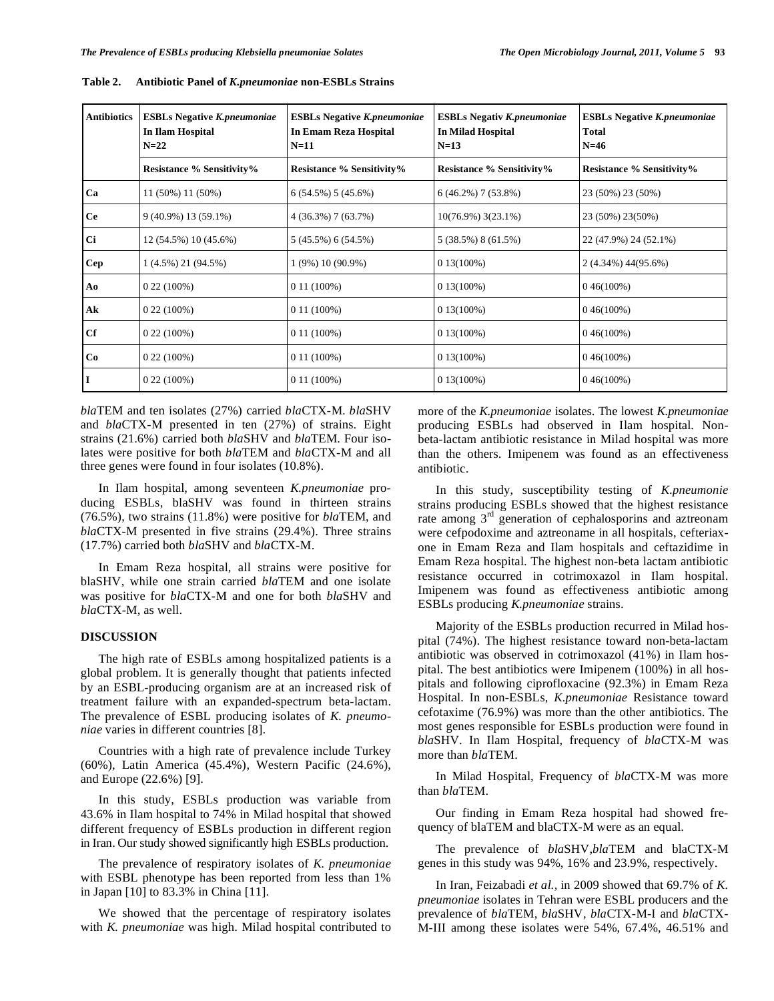| <b>Antibiotics</b> | <b>ESBLs Negative K.pneumoniae</b><br>In Ilam Hospital<br>$N=22$ | <b>ESBLs Negative K.pneumoniae</b><br><b>In Emam Reza Hospital</b><br>$N=11$ | <b>ESBLs Negativ K.pneumoniae</b><br>In Milad Hospital<br>$N=13$ | <b>ESBLs Negative K.pneumoniae</b><br><b>Total</b><br>$N=46$ |  |
|--------------------|------------------------------------------------------------------|------------------------------------------------------------------------------|------------------------------------------------------------------|--------------------------------------------------------------|--|
|                    | <b>Resistance % Sensitivity%</b>                                 | <b>Resistance % Sensitivity%</b>                                             | <b>Resistance % Sensitivity%</b>                                 | <b>Resistance % Sensitivity%</b>                             |  |
| Ca                 | 11 (50%) 11 (50%)                                                | $6(54.5\%)$ 5 (45.6%)                                                        | $6(46.2\%)$ 7 (53.8%)                                            | 23 (50%) 23 (50%)                                            |  |
| <b>Ce</b>          | 9 (40.9%) 13 (59.1%)                                             | 4 (36.3%) 7 (63.7%)                                                          | $10(76.9\%)$ 3(23.1%)                                            | 23 (50%) 23(50%)                                             |  |
| Ci                 | 12 (54.5%) 10 (45.6%)                                            | 5 (45.5%) 6 (54.5%)                                                          | 5 (38.5%) 8 (61.5%)                                              | 22 (47.9%) 24 (52.1%)                                        |  |
| <b>Cep</b>         | $1(4.5\%) 21(94.5\%)$                                            | $(9\%)$ 10 $(90.9\%)$                                                        | $0.13(100\%)$                                                    | 2 (4.34%) 44(95.6%)                                          |  |
| Ao                 | $0.22(100\%)$                                                    | $011(100\%)$                                                                 | $0.13(100\%)$                                                    | $0.46(100\%)$                                                |  |
| Ak                 | $0.22(100\%)$                                                    | $0.11(100\%)$                                                                | $0.13(100\%)$                                                    | $0.46(100\%)$                                                |  |
| Cf                 | $0.22(100\%)$                                                    | $0.11(100\%)$                                                                | $0.13(100\%)$                                                    | $0.46(100\%)$                                                |  |
| Co                 | $0.22(100\%)$                                                    | $011(100\%)$                                                                 | $0.13(100\%)$                                                    | $0.46(100\%)$                                                |  |
| IІ                 | $0.22(100\%)$                                                    | $0.11(100\%)$                                                                | $0.13(100\%)$                                                    | $0.46(100\%)$                                                |  |

**Table 2. Antibiotic Panel of** *K.pneumoniae* **non-ESBLs Strains** 

*bla*TEM and ten isolates (27%) carried *bla*CTX-M. *bla*SHV and *bla*CTX-M presented in ten (27%) of strains. Eight strains (21.6%) carried both *bla*SHV and *bla*TEM. Four isolates were positive for both *bla*TEM and *bla*CTX-M and all three genes were found in four isolates (10.8%).

 In Ilam hospital, among seventeen *K.pneumoniae* producing ESBLs, blaSHV was found in thirteen strains (76.5%), two strains (11.8%) were positive for *bla*TEM, and *bla*CTX-M presented in five strains (29.4%). Three strains (17.7%) carried both *bla*SHV and *bla*CTX-M.

 In Emam Reza hospital, all strains were positive for blaSHV, while one strain carried *bla*TEM and one isolate was positive for *bla*CTX-M and one for both *bla*SHV and *bla*CTX-M, as well.

#### **DISCUSSION**

 The high rate of ESBLs among hospitalized patients is a global problem. It is generally thought that patients infected by an ESBL-producing organism are at an increased risk of treatment failure with an expanded-spectrum beta-lactam. The prevalence of ESBL producing isolates of *K. pneumoniae* varies in different countries [8].

 Countries with a high rate of prevalence include Turkey (60%), Latin America (45.4%), Western Pacific (24.6%), and Europe (22.6%) [9].

 In this study, ESBLs production was variable from 43.6% in Ilam hospital to 74% in Milad hospital that showed different frequency of ESBLs production in different region in Iran. Our study showed significantly high ESBLs production.

 The prevalence of respiratory isolates of *K. pneumoniae*  with ESBL phenotype has been reported from less than 1% in Japan [10] to 83.3% in China [11].

 We showed that the percentage of respiratory isolates with *K. pneumoniae* was high. Milad hospital contributed to

more of the *K.pneumoniae* isolates. The lowest *K.pneumoniae* producing ESBLs had observed in Ilam hospital. Nonbeta-lactam antibiotic resistance in Milad hospital was more than the others. Imipenem was found as an effectiveness antibiotic.

 In this study, susceptibility testing of *K.pneumonie* strains producing ESBLs showed that the highest resistance rate among  $3<sup>rd</sup>$  generation of cephalosporins and aztreonam were cefpodoxime and aztreoname in all hospitals, cefteriaxone in Emam Reza and Ilam hospitals and ceftazidime in Emam Reza hospital. The highest non-beta lactam antibiotic resistance occurred in cotrimoxazol in Ilam hospital. Imipenem was found as effectiveness antibiotic among ESBLs producing *K.pneumoniae* strains.

 Majority of the ESBLs production recurred in Milad hospital (74%). The highest resistance toward non-beta-lactam antibiotic was observed in cotrimoxazol (41%) in Ilam hospital. The best antibiotics were Imipenem (100%) in all hospitals and following ciprofloxacine (92.3%) in Emam Reza Hospital. In non-ESBLs, *K.pneumoniae* Resistance toward cefotaxime (76.9%) was more than the other antibiotics. The most genes responsible for ESBLs production were found in *bla*SHV. In Ilam Hospital, frequency of *bla*CTX-M was more than *bla*TEM.

 In Milad Hospital, Frequency of *bla*CTX-M was more than *bla*TEM.

 Our finding in Emam Reza hospital had showed frequency of blaTEM and blaCTX-M were as an equal.

 The prevalence of *bla*SHV,*bla*TEM and blaCTX-M genes in this study was 94%, 16% and 23.9%, respectively.

 In Iran, Feizabadi *et al.,* in 2009 showed that 69.7% of *K. pneumoniae* isolates in Tehran were ESBL producers and the prevalence of *bla*TEM, *bla*SHV, *bla*CTX-M-I and *bla*CTX-M-III among these isolates were 54%, 67.4%, 46.51% and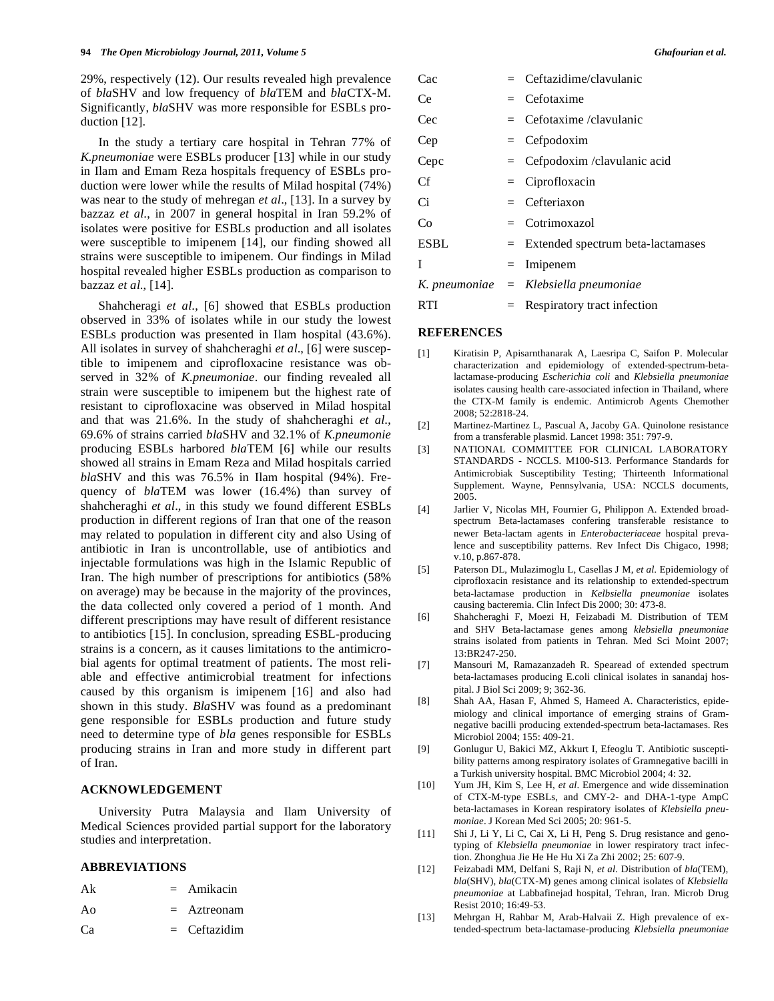29%, respectively (12). Our results revealed high prevalence of *bla*SHV and low frequency of *bla*TEM and *bla*CTX-M. Significantly, *bla*SHV was more responsible for ESBLs production [12].

 In the study a tertiary care hospital in Tehran 77% of *K.pneumoniae* were ESBLs producer [13] while in our study in Ilam and Emam Reza hospitals frequency of ESBLs production were lower while the results of Milad hospital (74%) was near to the study of mehregan *et al*., [13]. In a survey by bazzaz *et al*., in 2007 in general hospital in Iran 59.2% of isolates were positive for ESBLs production and all isolates were susceptible to imipenem [14], our finding showed all strains were susceptible to imipenem. Our findings in Milad hospital revealed higher ESBLs production as comparison to bazzaz *et al*., [14].

 Shahcheragi *et al*., [6] showed that ESBLs production observed in 33% of isolates while in our study the lowest ESBLs production was presented in Ilam hospital (43.6%). All isolates in survey of shahcheraghi *et al*., [6] were susceptible to imipenem and ciprofloxacine resistance was observed in 32% of *K.pneumoniae*. our finding revealed all strain were susceptible to imipenem but the highest rate of resistant to ciprofloxacine was observed in Milad hospital and that was 21.6%. In the study of shahcheraghi *et al*., 69.6% of strains carried *bla*SHV and 32.1% of *K.pneumonie* producing ESBLs harbored *bla*TEM [6] while our results showed all strains in Emam Reza and Milad hospitals carried *bla*SHV and this was 76.5% in Ilam hospital (94%). Frequency of *bla*TEM was lower (16.4%) than survey of shahcheraghi *et al*., in this study we found different ESBLs production in different regions of Iran that one of the reason may related to population in different city and also Using of antibiotic in Iran is uncontrollable, use of antibiotics and injectable formulations was high in the Islamic Republic of Iran. The high number of prescriptions for antibiotics (58% on average) may be because in the majority of the provinces, the data collected only covered a period of 1 month. And different prescriptions may have result of different resistance to antibiotics [15]. In conclusion, spreading ESBL-producing strains is a concern, as it causes limitations to the antimicrobial agents for optimal treatment of patients. The most reliable and effective antimicrobial treatment for infections caused by this organism is imipenem [16] and also had shown in this study. *Bla*SHV was found as a predominant gene responsible for ESBLs production and future study need to determine type of *bla* genes responsible for ESBLs producing strains in Iran and more study in different part of Iran.

# **ACKNOWLEDGEMENT**

 University Putra Malaysia and Ilam University of Medical Sciences provided partial support for the laboratory studies and interpretation.

# **ABBREVIATIONS**

| Ak | $=$ Amikacin   |
|----|----------------|
| Ao | $=$ Aztreonam  |
| Cа | $=$ Ceftazidim |

| Ghafourian et al. |  |
|-------------------|--|
|                   |  |

| Cac  | $=$ Ceftazidime/clavulanic                 |
|------|--------------------------------------------|
| Ce   | $=$ Cefotaxime                             |
| Cec  | $=$ Cefotaxime /clavulanic                 |
| Cep  | $=$ Cefpodoxim                             |
| Cepc | $=$ Cefpodoxim/clavulanic acid             |
| Сf   | $=$ Ciprofloxacin                          |
| Ci   | $=$ Cefteriaxon                            |
| Co   | $=$ Cotrimoxazol                           |
| ESBL | $=$ Extended spectrum beta-lactamases      |
| L    | $=$ Imipenem                               |
|      | K. pneumoniae    =   Klebsiella pneumoniae |
| RTI  | $=$ Respiratory tract infection            |

# **REFERENCES**

- [1] Kiratisin P, Apisarnthanarak A, Laesripa C, Saifon P. Molecular characterization and epidemiology of extended-spectrum-betalactamase-producing *Escherichia coli* and *Klebsiella pneumoniae*  isolates causing health care-associated infection in Thailand, where the CTX-M family is endemic. Antimicrob Agents Chemother 2008; 52:2818-24.
- [2] Martinez-Martinez L, Pascual A, Jacoby GA. Quinolone resistance from a transferable plasmid. Lancet 1998: 351: 797-9.
- [3] NATIONAL COMMITTEE FOR CLINICAL LABORATORY STANDARDS - NCCLS. M100-S13. Performance Standards for Antimicrobiak Susceptibility Testing; Thirteenth Informational Supplement. Wayne, Pennsylvania, USA: NCCLS documents, 2005.
- [4] Jarlier V, Nicolas MH, Fournier G, Philippon A. Extended broadspectrum Beta-lactamases confering transferable resistance to newer Beta-lactam agents in *Enterobacteriaceae* hospital prevalence and susceptibility patterns. Rev Infect Dis Chigaco, 1998; v.10, p.867-878.
- [5] Paterson DL, Mulazimoglu L, Casellas J M, *et al*. Epidemiology of ciprofloxacin resistance and its relationship to extended-spectrum beta-lactamase production in *Kelbsiella pneumoniae* isolates causing bacteremia. Clin Infect Dis 2000; 30: 473-8.
- [6] Shahcheraghi F, Moezi H, Feizabadi M. Distribution of TEM and SHV Beta-lactamase genes among *klebsiella pneumoniae* strains isolated from patients in Tehran. Med Sci Moint 2007; 13:BR247-250.
- [7] Mansouri M, Ramazanzadeh R. Spearead of extended spectrum beta-lactamases producing E.coli clinical isolates in sanandaj hospital. J Biol Sci 2009; 9; 362-36.
- [8] Shah AA, Hasan F, Ahmed S, Hameed A. Characteristics, epidemiology and clinical importance of emerging strains of Gramnegative bacilli producing extended-spectrum beta-lactamases. Res Microbiol 2004; 155: 409-21.
- [9] Gonlugur U, Bakici MZ, Akkurt I, Efeoglu T. Antibiotic susceptibility patterns among respiratory isolates of Gramnegative bacilli in a Turkish university hospital. BMC Microbiol 2004; 4: 32.
- [10] Yum JH, Kim S, Lee H, *et al*. Emergence and wide dissemination of CTX-M-type ESBLs, and CMY-2- and DHA-1-type AmpC beta-lactamases in Korean respiratory isolates of *Klebsiella pneumoniae*. J Korean Med Sci 2005; 20: 961-5.
- [11] Shi J, Li Y, Li C, Cai X, Li H, Peng S. Drug resistance and genotyping of *Klebsiella pneumoniae* in lower respiratory tract infection. Zhonghua Jie He He Hu Xi Za Zhi 2002; 25: 607-9.
- [12] Feizabadi MM, Delfani S, Raji N, *et al*. Distribution of *bla*(TEM), *bla*(SHV), *bla*(CTX-M) genes among clinical isolates of *Klebsiella pneumoniae* at Labbafinejad hospital, Tehran, Iran. Microb Drug Resist 2010; 16:49-53.
- [13] Mehrgan H, Rahbar M, Arab-Halvaii Z. High prevalence of extended-spectrum beta-lactamase-producing *Klebsiella pneumoniae*